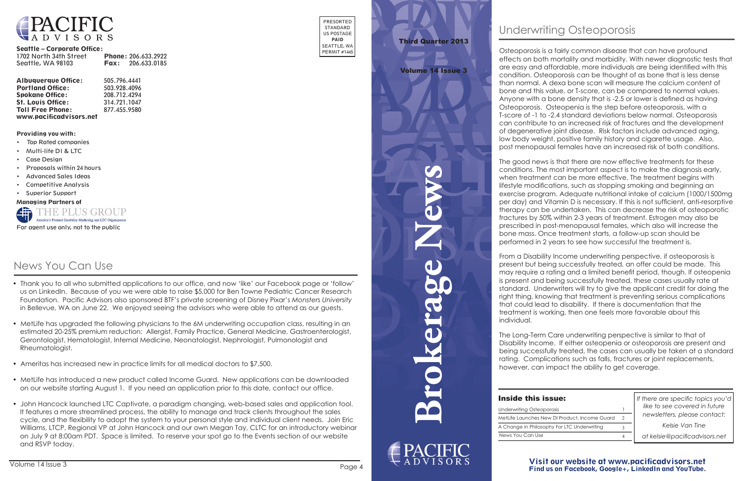**Brokerage News**

 $\blacktriangledown$ 

### Visit our website at www.pacificadvisors.net Find us on Facebook, Google+, LinkedIn and YouTube.



#### Seattle – Corporate Office:

| 1702 North 34th Street | <b>Phone: 206.633.2922</b> |
|------------------------|----------------------------|
| Seattle, WA 98103      | <b>Fax:</b> $206.633.0185$ |

| <b>Albuquerque Office:</b> | 505.796.4441 |
|----------------------------|--------------|
| <b>Portland Office:</b>    | 503.928.4096 |
| <b>Spokane Office:</b>     | 208.712.4294 |
| <b>St. Louis Office:</b>   | 314.721.1047 |
| <b>Toll Free Phone:</b>    | 877.455.9580 |
| www.pacificadvisors.net    |              |

PRESORTED STANDARD US POSTAGE PAID SEATTLE, WA PERMIT #1445

Providing you with:

- Top Rated companies
- Multi-life DI & LTC
- Case Design
- Proposals within 24 hours
- Advanced Sales Ideas
- Competitive Analysis
- Superior Support

Managing Partners of



*If there are specific topics you'd like to see covered in future newsletters, please contact:*

*Kelsie Van Tine*

*at kelsie@pacificadvisors.net*

# Third Quarter 2013

#### Volume 14 Issue 3

| ssue:                       |               |
|-----------------------------|---------------|
| porosis                     |               |
| ew DI Product, Income Guard | $\mathcal{D}$ |
| phy For LTC Underwriting    |               |
|                             |               |

# Underwriting Osteoporosis

Osteoporosis is a fairly common disease that can have profound effects on both mortality and morbidity. With newer diagnostic tests that are easy and affordable, more individuals are being identified with this condition. Osteoporosis can be thought of as bone that is less dense than normal. A dexa bone scan will measure the calcium content of bone and this value, or T-score, can be compared to normal values. Anyone with a bone density that is -2.5 or lower is defined as having Osteoporosis. Osteopenia is the step before osteoporosis, with a T-score of -1 to -2.4 standard deviations below normal. Osteoporosis can contribute to an increased risk of fractures and the development of degenerative joint disease. Risk factors include advanced aging, low body weight, positive family history and cigarette usage. Also, post menopausal females have an increased risk of both conditions.

The good news is that there are now effective treatments for these conditions. The most important aspect is to make the diagnosis early, when treatment can be more effective. The treatment begins with lifestyle modifications, such as stopping smoking and beginning an exercise program. Adequate nutritional intake of calcium (1000/1500mg per day) and Vitamin D is necessary. If this is not sufficient, anti-resorptive therapy can be undertaken. This can decrease the risk of osteoporotic fractures by 50% within 2-3 years of treatment. Estrogen may also be prescribed in post-menopausal females, which also will increase the bone mass. Once treatment starts, a follow-up scan should be performed in 2 years to see how successful the treatment is.

From a Disability Income underwriting perspective, if osteoporosis is present but being successfully treated, an offer could be made. This may require a rating and a limited benefit period, though. If osteopenia is present and being successfully treated, these cases usually rate at standard. Underwriters will try to give the applicant credit for doing the right thing, knowing that treatment is preventing serious complications that could lead to disability. If there is documentation that the treatment is working, then one feels more favorable about this individual.

The Long-Term Care underwriting perspective is similar to that of Disability Income. If either osteopenia or osteoporosis are present and being successfully treated, the cases can usually be taken at a standard rating. Complications such as falls, fractures or joint replacements, however, can impact the ability to get coverage.

# **Inside this is**

Underwriting Osteop News You Can Use MetLife Launches Ne A Change In Philoso

# News You Can Use

- Thank you to all who submitted applications to our office, and now 'like' our Facebook page or 'follow' us on LinkedIn. Because of you we were able to raise \$5,000 for Ben Towne Pediatric Cancer Research Foundation. Pacific Advisors also sponsored BTF's private screening of Disney Pixar's *Monsters University* in Bellevue, WA on June 22. We enjoyed seeing the advisors who were able to attend as our guests.
- MetLife has upgraded the following physicians to the 6M underwriting occupation class, resulting in an estimated 20-25% premium reduction: Allergist, Family Practice, General Medicine, Gastroenterologist, Gerontologist, Hematologist, Internal Medicine, Neonatologist, Nephrologist, Pulmonologist and Rheumatologist.
- Ameritas has increased new in practice limits for all medical doctors to \$7,500.
- MetLife has introduced a new product called Income Guard. New applications can be downloaded on our website starting August 1. If you need an application prior to this date, contact our office.
- John Hancock launched LTC Captivate, a paradigm changing, web-based sales and application tool. It features a more streamlined process, the ability to manage and track clients throughout the sales cycle, and the flexibility to adopt the system to your personal style and individual client needs. Join Eric Williams, LTCP, Regional VP at John Hancock and our own Megan Tay, CLTC for an introductory webinar on July 9 at 8:00am PDT. Space is limited. To reserve your spot go to the Events section of our website and RSVP today.